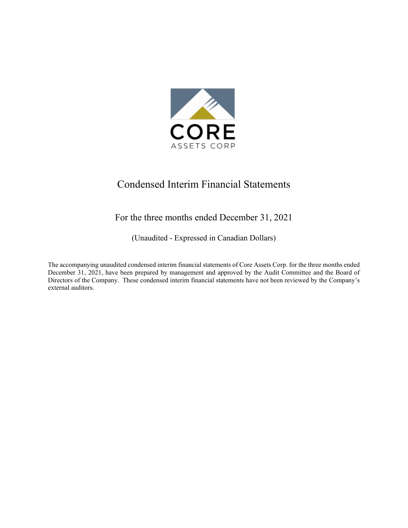

# Condensed Interim Financial Statements

# For the three months ended December 31, 2021

(Unaudited - Expressed in Canadian Dollars)

The accompanying unaudited condensed interim financial statements of Core Assets Corp. for the three months ended December 31, 2021, have been prepared by management and approved by the Audit Committee and the Board of Directors of the Company. These condensed interim financial statements have not been reviewed by the Company's external auditors.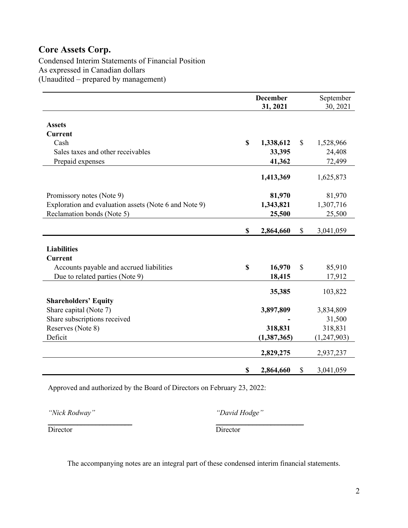Condensed Interim Statements of Financial Position As expressed in Canadian dollars (Unaudited – prepared by management)

|                                                       |             | <b>December</b><br>31, 2021 |              | September<br>30, 2021 |
|-------------------------------------------------------|-------------|-----------------------------|--------------|-----------------------|
|                                                       |             |                             |              |                       |
| <b>Assets</b>                                         |             |                             |              |                       |
| <b>Current</b>                                        |             |                             |              |                       |
| Cash                                                  | $\mathbf S$ | 1,338,612                   | $\mathbb{S}$ | 1,528,966             |
| Sales taxes and other receivables                     |             | 33,395                      |              | 24,408                |
| Prepaid expenses                                      |             | 41,362                      |              | 72,499                |
|                                                       |             |                             |              |                       |
|                                                       |             | 1,413,369                   |              | 1,625,873             |
|                                                       |             |                             |              |                       |
| Promissory notes (Note 9)                             |             | 81,970                      |              | 81,970                |
| Exploration and evaluation assets (Note 6 and Note 9) |             | 1,343,821                   |              | 1,307,716             |
| Reclamation bonds (Note 5)                            |             | 25,500                      |              | 25,500                |
|                                                       |             |                             |              |                       |
|                                                       | \$          | 2,864,660                   | \$           | 3,041,059             |
|                                                       |             |                             |              |                       |
| <b>Liabilities</b>                                    |             |                             |              |                       |
| <b>Current</b>                                        |             |                             |              |                       |
| Accounts payable and accrued liabilities              | $\mathbf S$ | 16,970                      | $\mathbb{S}$ | 85,910                |
| Due to related parties (Note 9)                       |             | 18,415                      |              | 17,912                |
|                                                       |             | 35,385                      |              | 103,822               |
| <b>Shareholders' Equity</b>                           |             |                             |              |                       |
| Share capital (Note 7)                                |             | 3,897,809                   |              | 3,834,809             |
| Share subscriptions received                          |             |                             |              | 31,500                |
| Reserves (Note 8)                                     |             | 318,831                     |              | 318,831               |
| Deficit                                               |             | (1,387,365)                 |              | (1,247,903)           |
|                                                       |             |                             |              |                       |
|                                                       |             | 2,829,275                   |              | 2,937,237             |
|                                                       | \$          | 2,864,660                   | \$           | 3,041,059             |

Approved and authorized by the Board of Directors on February 23, 2022:

*"Nick Rodway" "David Hodge"*

Director Director

\_\_\_\_\_\_\_\_\_\_\_\_\_\_\_\_\_\_\_\_\_\_\_ \_\_\_\_\_\_\_\_\_\_\_\_\_\_\_\_\_\_\_\_\_\_\_\_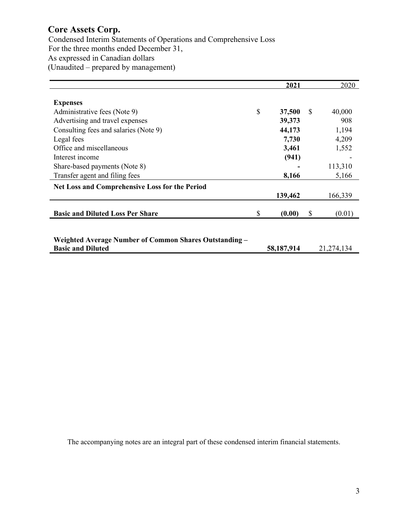Condensed Interim Statements of Operations and Comprehensive Loss For the three months ended December 31, As expressed in Canadian dollars (Unaudited – prepared by management)

|                                                        | 2021         |    | 2020         |
|--------------------------------------------------------|--------------|----|--------------|
|                                                        |              |    |              |
| <b>Expenses</b>                                        |              |    |              |
| Administrative fees (Note 9)                           | \$<br>37,500 | S  | 40,000       |
| Advertising and travel expenses                        | 39,373       |    | 908          |
| Consulting fees and salaries (Note 9)                  | 44,173       |    | 1,194        |
| Legal fees                                             | 7,730        |    | 4,209        |
| Office and miscellaneous                               | 3,461        |    | 1,552        |
| Interest income                                        | (941)        |    |              |
| Share-based payments (Note 8)                          |              |    | 113,310      |
| Transfer agent and filing fees                         | 8,166        |    | 5,166        |
| Net Loss and Comprehensive Loss for the Period         |              |    |              |
|                                                        | 139,462      |    | 166,339      |
|                                                        |              |    |              |
| <b>Basic and Diluted Loss Per Share</b>                | \$<br>(0.00) | \$ | (0.01)       |
|                                                        |              |    |              |
|                                                        |              |    |              |
| Weighted Average Number of Common Shares Outstanding – |              |    |              |
| <b>Basic and Diluted</b>                               | 58,187,914   |    | 21, 274, 134 |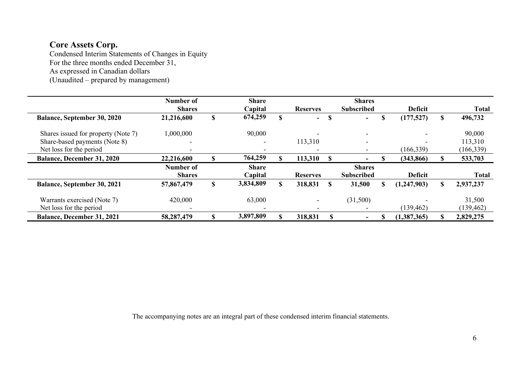Condensed Interim Statements of Changes in Equity For the three months ended December 31, As expressed in Canadian dollars (Unaudited – prepared by management)

|                                     | Number of<br><b>Shares</b> | <b>Share</b><br>Capital |   | <b>Reserves</b> |          | <b>Shares</b><br><b>Subscribed</b> |         | <b>Deficit</b> |    | <b>Total</b> |
|-------------------------------------|----------------------------|-------------------------|---|-----------------|----------|------------------------------------|---------|----------------|----|--------------|
| <b>Balance, September 30, 2020</b>  | 21,216,600                 | \$<br>674,259           | S | $\sim$          | S        | $\sim$                             | ጦ<br>Л. | (177, 527)     | S  | 496,732      |
| Shares issued for property (Note 7) | 1,000,000                  | 90,000                  |   |                 |          | $\overline{\phantom{a}}$           |         |                |    | 90,000       |
| Share-based payments (Note 8)       | $\overline{\phantom{0}}$   |                         |   | 113,310         |          | $\overline{\phantom{a}}$           |         |                |    | 113,310      |
| Net loss for the period             | $\overline{\phantom{0}}$   |                         |   |                 |          | $\overline{\phantom{a}}$           |         | (166, 339)     |    | (166, 339)   |
| <b>Balance, December 31, 2020</b>   | 22,216,600                 | 764,259                 |   | 113,310         |          |                                    |         | (343, 866)     |    | 533,703      |
|                                     | Number of                  | <b>Share</b>            |   |                 |          | <b>Shares</b>                      |         |                |    |              |
|                                     | <b>Shares</b>              | Capital                 |   | <b>Reserves</b> |          | <b>Subscribed</b>                  |         | <b>Deficit</b> |    | <b>Total</b> |
| <b>Balance, September 30, 2021</b>  | 57,867,479                 | \$<br>3,834,809         | S | 318,831         | <b>S</b> | 31,500                             | \$      | (1, 247, 903)  | \$ | 2,937,237    |
| Warrants exercised (Note 7)         | 420,000                    | 63,000                  |   |                 |          | (31,500)                           |         |                |    | 31,500       |
| Net loss for the period             | $\overline{\phantom{0}}$   |                         |   |                 |          |                                    |         | (139, 462)     |    | (139, 462)   |
| <b>Balance, December 31, 2021</b>   | 58,287,479                 | \$<br>3,897,809         |   | 318,831         |          | $\overline{\phantom{0}}$           |         | (1,387,365)    |    | 2,829,275    |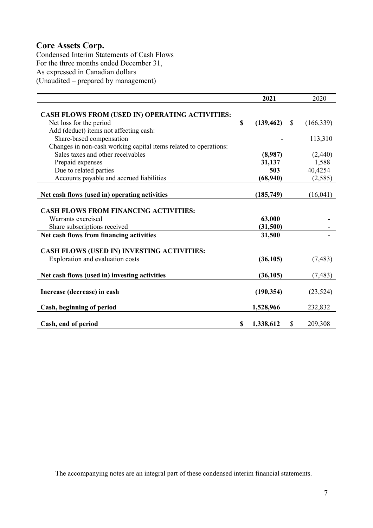Condensed Interim Statements of Cash Flows For the three months ended December 31, As expressed in Canadian dollars (Unaudited – prepared by management)

|                                                                  | 2021                  | 2020          |
|------------------------------------------------------------------|-----------------------|---------------|
|                                                                  |                       |               |
| CASH FLOWS FROM (USED IN) OPERATING ACTIVITIES:                  |                       |               |
| Net loss for the period                                          | \$<br>$(139, 462)$ \$ | (166, 339)    |
| Add (deduct) items not affecting cash:                           |                       |               |
| Share-based compensation                                         |                       | 113,310       |
| Changes in non-cash working capital items related to operations: |                       |               |
| Sales taxes and other receivables                                | (8,987)               | (2,440)       |
| Prepaid expenses                                                 | 31,137                | 1,588         |
| Due to related parties                                           | 503                   | 40,4254       |
| Accounts payable and accrued liabilities                         | (68,940)              | (2, 585)      |
|                                                                  |                       |               |
| Net cash flows (used in) operating activities                    | (185,749)             | (16,041)      |
|                                                                  |                       |               |
| <b>CASH FLOWS FROM FINANCING ACTIVITIES:</b>                     |                       |               |
| Warrants exercised                                               | 63,000                |               |
| Share subscriptions received                                     | (31,500)              |               |
| Net cash flows from financing activities                         | 31,500                |               |
|                                                                  |                       |               |
| CASH FLOWS (USED IN) INVESTING ACTIVITIES:                       |                       |               |
| Exploration and evaluation costs                                 | (36, 105)             | (7, 483)      |
|                                                                  |                       |               |
| Net cash flows (used in) investing activities                    | (36, 105)             | (7, 483)      |
|                                                                  |                       |               |
| Increase (decrease) in cash                                      | (190, 354)            | (23, 524)     |
|                                                                  |                       |               |
| Cash, beginning of period                                        | 1,528,966             | 232,832       |
|                                                                  |                       |               |
| Cash, end of period                                              | \$<br>1,338,612       | \$<br>209,308 |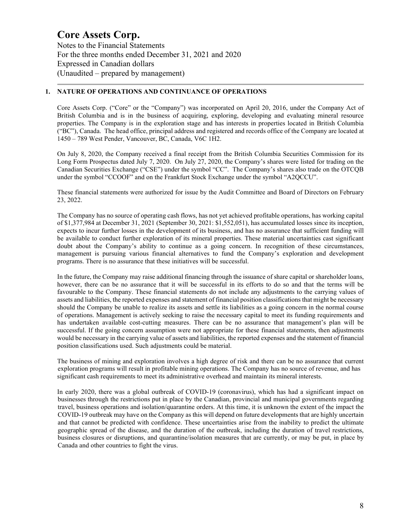Notes to the Financial Statements For the three months ended December 31, 2021 and 2020 Expressed in Canadian dollars (Unaudited – prepared by management)

### **1. NATURE OF OPERATIONS AND CONTINUANCE OF OPERATIONS**

Core Assets Corp. ("Core" or the "Company") was incorporated on April 20, 2016, under the Company Act of British Columbia and is in the business of acquiring, exploring, developing and evaluating mineral resource properties. The Company is in the exploration stage and has interests in properties located in British Columbia ("BC"), Canada. The head office, principal address and registered and records office of the Company are located at 1450 – 789 West Pender, Vancouver, BC, Canada, V6C 1H2.

On July 8, 2020, the Company received a final receipt from the British Columbia Securities Commission for its Long Form Prospectus dated July 7, 2020. On July 27, 2020, the Company's shares were listed for trading on the Canadian Securities Exchange ("CSE") under the symbol "CC". The Company's shares also trade on the OTCQB under the symbol "CCOOF" and on the Frankfurt Stock Exchange under the symbol "A2QCCU".

These financial statements were authorized for issue by the Audit Committee and Board of Directors on February 23, 2022.

The Company has no source of operating cash flows, has not yet achieved profitable operations, has working capital of \$1,377,984 at December 31, 2021 (September 30, 2021: \$1,552,051), has accumulated losses since its inception, expects to incur further losses in the development of its business, and has no assurance that sufficient funding will be available to conduct further exploration of its mineral properties. These material uncertainties cast significant doubt about the Company's ability to continue as a going concern. In recognition of these circumstances, management is pursuing various financial alternatives to fund the Company's exploration and development programs. There is no assurance that these initiatives will be successful.

In the future, the Company may raise additional financing through the issuance of share capital or shareholder loans, however, there can be no assurance that it will be successful in its efforts to do so and that the terms will be favourable to the Company. These financial statements do not include any adjustments to the carrying values of assets and liabilities, the reported expenses and statement of financial position classifications that might be necessary should the Company be unable to realize its assets and settle its liabilities as a going concern in the normal course of operations. Management is actively seeking to raise the necessary capital to meet its funding requirements and has undertaken available cost-cutting measures. There can be no assurance that management's plan will be successful. If the going concern assumption were not appropriate for these financial statements, then adjustments would be necessary in the carrying value of assets and liabilities, the reported expenses and the statement of financial position classifications used. Such adjustments could be material.

The business of mining and exploration involves a high degree of risk and there can be no assurance that current exploration programs will result in profitable mining operations. The Company has no source of revenue, and has significant cash requirements to meet its administrative overhead and maintain its mineral interests.

In early 2020, there was a global outbreak of COVID-19 (coronavirus), which has had a significant impact on businesses through the restrictions put in place by the Canadian, provincial and municipal governments regarding travel, business operations and isolation/quarantine orders. At this time, it is unknown the extent of the impact the COVID-19 outbreak may have on the Company as this will depend on future developments that are highly uncertain and that cannot be predicted with confidence. These uncertainties arise from the inability to predict the ultimate geographic spread of the disease, and the duration of the outbreak, including the duration of travel restrictions, business closures or disruptions, and quarantine/isolation measures that are currently, or may be put, in place by Canada and other countries to fight the virus.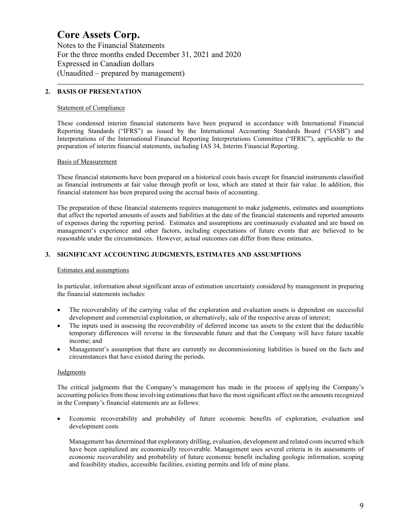Notes to the Financial Statements For the three months ended December 31, 2021 and 2020 Expressed in Canadian dollars (Unaudited – prepared by management)

### **2. BASIS OF PRESENTATION**

#### Statement of Compliance

These condensed interim financial statements have been prepared in accordance with International Financial Reporting Standards ("IFRS") as issued by the International Accounting Standards Board ("IASB") and Interpretations of the International Financial Reporting Interpretations Committee ("IFRIC"), applicable to the preparation of interim financial statements, including IAS 34, Interim Financial Reporting.

### Basis of Measurement

These financial statements have been prepared on a historical costs basis except for financial instruments classified as financial instruments at fair value through profit or loss, which are stated at their fair value. In addition, this financial statement has been prepared using the accrual basis of accounting.

The preparation of these financial statements requires management to make judgments, estimates and assumptions that affect the reported amounts of assets and liabilities at the date of the financial statements and reported amounts of expenses during the reporting period. Estimates and assumptions are continuously evaluated and are based on management's experience and other factors, including expectations of future events that are believed to be reasonable under the circumstances. However, actual outcomes can differ from these estimates.

# **3. SIGNIFICANT ACCOUNTING JUDGMENTS, ESTIMATES AND ASSUMPTIONS**

#### Estimates and assumptions

In particular, information about significant areas of estimation uncertainty considered by management in preparing the financial statements includes:

- The recoverability of the carrying value of the exploration and evaluation assets is dependent on successful development and commercial exploitation, or alternatively, sale of the respective areas of interest;
- The inputs used in assessing the recoverability of deferred income tax assets to the extent that the deductible temporary differences will reverse in the foreseeable future and that the Company will have future taxable income; and
- Management's assumption that there are currently no decommissioning liabilities is based on the facts and circumstances that have existed during the periods.

#### Judgments

The critical judgments that the Company's management has made in the process of applying the Company's accounting policies from those involving estimations that have the most significant effect on the amounts recognized in the Company's financial statements are as follows:

• Economic recoverability and probability of future economic benefits of exploration, evaluation and development costs

Management has determined that exploratory drilling, evaluation, development and related costs incurred which have been capitalized are economically recoverable. Management uses several criteria in its assessments of economic recoverability and probability of future economic benefit including geologic information, scoping and feasibility studies, accessible facilities, existing permits and life of mine plans.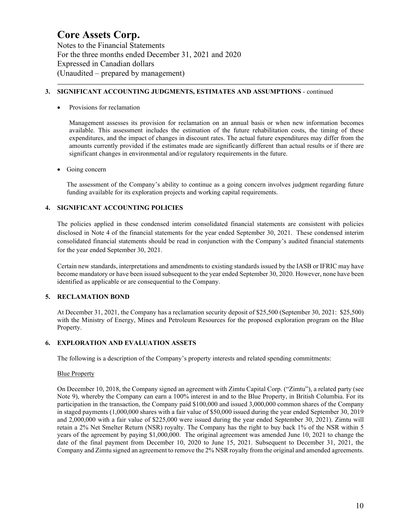Notes to the Financial Statements For the three months ended December 31, 2021 and 2020 Expressed in Canadian dollars (Unaudited – prepared by management)

### **3. SIGNIFICANT ACCOUNTING JUDGMENTS, ESTIMATES AND ASSUMPTIONS** - continued

Provisions for reclamation

Management assesses its provision for reclamation on an annual basis or when new information becomes available. This assessment includes the estimation of the future rehabilitation costs, the timing of these expenditures, and the impact of changes in discount rates. The actual future expenditures may differ from the amounts currently provided if the estimates made are significantly different than actual results or if there are significant changes in environmental and/or regulatory requirements in the future.

### Going concern

The assessment of the Company's ability to continue as a going concern involves judgment regarding future funding available for its exploration projects and working capital requirements.

# **4. SIGNIFICANT ACCOUNTING POLICIES**

The policies applied in these condensed interim consolidated financial statements are consistent with policies disclosed in Note 4 of the financial statements for the year ended September 30, 2021. These condensed interim consolidated financial statements should be read in conjunction with the Company's audited financial statements for the year ended September 30, 2021.

Certain new standards, interpretations and amendments to existing standards issued by the IASB or IFRIC may have become mandatory or have been issued subsequent to the year ended September 30, 2020. However, none have been identified as applicable or are consequential to the Company.

# **5. RECLAMATION BOND**

At December 31, 2021, the Company has a reclamation security deposit of \$25,500 (September 30, 2021: \$25,500) with the Ministry of Energy, Mines and Petroleum Resources for the proposed exploration program on the Blue Property.

# **6. EXPLORATION AND EVALUATION ASSETS**

The following is a description of the Company's property interests and related spending commitments:

#### Blue Property

On December 10, 2018, the Company signed an agreement with Zimtu Capital Corp. ("Zimtu"), a related party (see Note 9), whereby the Company can earn a 100% interest in and to the Blue Property, in British Columbia. For its participation in the transaction, the Company paid \$100,000 and issued 3,000,000 common shares of the Company in staged payments (1,000,000 shares with a fair value of \$50,000 issued during the year ended September 30, 2019 and 2,000,000 with a fair value of \$225,000 were issued during the year ended September 30, 2021). Zimtu will retain a 2% Net Smelter Return (NSR) royalty. The Company has the right to buy back 1% of the NSR within 5 years of the agreement by paying \$1,000,000. The original agreement was amended June 10, 2021 to change the date of the final payment from December 10, 2020 to June 15, 2021. Subsequent to December 31, 2021, the Company and Zimtu signed an agreement to remove the 2% NSR royalty from the original and amended agreements.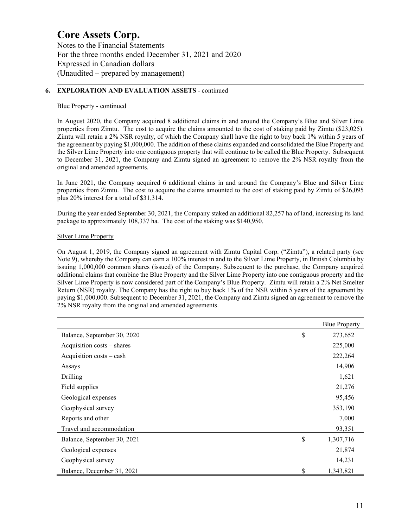Notes to the Financial Statements For the three months ended December 31, 2021 and 2020 Expressed in Canadian dollars (Unaudited – prepared by management)

#### **6. EXPLORATION AND EVALUATION ASSETS** - continued

#### Blue Property - continued

In August 2020, the Company acquired 8 additional claims in and around the Company's Blue and Silver Lime properties from Zimtu. The cost to acquire the claims amounted to the cost of staking paid by Zimtu (\$23,025). Zimtu will retain a 2% NSR royalty, of which the Company shall have the right to buy back 1% within 5 years of the agreement by paying \$1,000,000. The addition of these claims expanded and consolidated the Blue Property and the Silver Lime Property into one contiguous property that will continue to be called the Blue Property. Subsequent to December 31, 2021, the Company and Zimtu signed an agreement to remove the 2% NSR royalty from the original and amended agreements.

In June 2021, the Company acquired 6 additional claims in and around the Company's Blue and Silver Lime properties from Zimtu. The cost to acquire the claims amounted to the cost of staking paid by Zimtu of \$26,095 plus 20% interest for a total of \$31,314.

During the year ended September 30, 2021, the Company staked an additional 82,257 ha of land, increasing its land package to approximately 108,337 ha. The cost of the staking was \$140,950.

### Silver Lime Property

On August 1, 2019, the Company signed an agreement with Zimtu Capital Corp. ("Zimtu"), a related party (see Note 9), whereby the Company can earn a 100% interest in and to the Silver Lime Property, in British Columbia by issuing 1,000,000 common shares (issued) of the Company. Subsequent to the purchase, the Company acquired additional claims that combine the Blue Property and the Silver Lime Property into one contiguous property and the Silver Lime Property is now considered part of the Company's Blue Property. Zimtu will retain a 2% Net Smelter Return (NSR) royalty. The Company has the right to buy back 1% of the NSR within 5 years of the agreement by paying \$1,000,000. Subsequent to December 31, 2021, the Company and Zimtu signed an agreement to remove the 2% NSR royalty from the original and amended agreements.

|                             | <b>Blue Property</b> |
|-----------------------------|----------------------|
| Balance, September 30, 2020 | \$<br>273,652        |
| Acquisition costs – shares  | 225,000              |
| Acquisition costs – cash    | 222,264              |
| Assays                      | 14,906               |
| Drilling                    | 1,621                |
| Field supplies              | 21,276               |
| Geological expenses         | 95,456               |
| Geophysical survey          | 353,190              |
| Reports and other           | 7,000                |
| Travel and accommodation    | 93,351               |
| Balance, September 30, 2021 | \$<br>1,307,716      |
| Geological expenses         | 21,874               |
| Geophysical survey          | 14,231               |
| Balance, December 31, 2021  | \$<br>1,343,821      |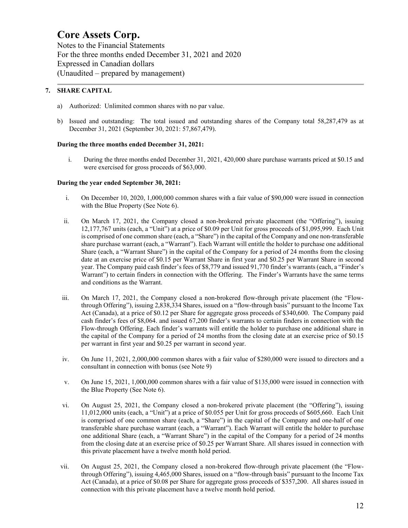Notes to the Financial Statements For the three months ended December 31, 2021 and 2020 Expressed in Canadian dollars (Unaudited – prepared by management)

# **7. SHARE CAPITAL**

- a) Authorized: Unlimited common shares with no par value.
- b) Issued and outstanding: The total issued and outstanding shares of the Company total 58,287,479 as at December 31, 2021 (September 30, 2021: 57,867,479).

### **During the three months ended December 31, 2021:**

i. During the three months ended December 31, 2021, 420,000 share purchase warrants priced at \$0.15 and were exercised for gross proceeds of \$63,000.

### **During the year ended September 30, 2021:**

- i. On December 10, 2020, 1,000,000 common shares with a fair value of \$90,000 were issued in connection with the Blue Property (See Note 6).
- ii. On March 17, 2021, the Company closed a non-brokered private placement (the "Offering"), issuing 12,177,767 units (each, a "Unit") at a price of \$0.09 per Unit for gross proceeds of \$1,095,999. Each Unit is comprised of one common share (each, a "Share") in the capital of the Company and one non-transferable share purchase warrant (each, a "Warrant"). Each Warrant will entitle the holder to purchase one additional Share (each, a "Warrant Share") in the capital of the Company for a period of 24 months from the closing date at an exercise price of \$0.15 per Warrant Share in first year and \$0.25 per Warrant Share in second year. The Company paid cash finder's fees of \$8,779 and issued 91,770 finder's warrants (each, a "Finder's Warrant") to certain finders in connection with the Offering. The Finder's Warrants have the same terms and conditions as the Warrant.
- iii. On March 17, 2021, the Company closed a non-brokered flow-through private placement (the "Flowthrough Offering"), issuing 2,838,334 Shares, issued on a "flow-through basis" pursuant to the Income Tax Act (Canada), at a price of \$0.12 per Share for aggregate gross proceeds of \$340,600. The Company paid cash finder's fees of \$8,064. and issued 67,200 finder's warrants to certain finders in connection with the Flow-through Offering. Each finder's warrants will entitle the holder to purchase one additional share in the capital of the Company for a period of 24 months from the closing date at an exercise price of \$0.15 per warrant in first year and \$0.25 per warrant in second year.
- iv. On June 11, 2021, 2,000,000 common shares with a fair value of \$280,000 were issued to directors and a consultant in connection with bonus (see Note 9)
- v. On June 15, 2021, 1,000,000 common shares with a fair value of \$135,000 were issued in connection with the Blue Property (See Note 6).
- vi. On August 25, 2021, the Company closed a non-brokered private placement (the "Offering"), issuing 11,012,000 units (each, a "Unit") at a price of \$0.055 per Unit for gross proceeds of \$605,660. Each Unit is comprised of one common share (each, a "Share") in the capital of the Company and one-half of one transferable share purchase warrant (each, a "Warrant"). Each Warrant will entitle the holder to purchase one additional Share (each, a "Warrant Share") in the capital of the Company for a period of 24 months from the closing date at an exercise price of \$0.25 per Warrant Share. All shares issued in connection with this private placement have a twelve month hold period.
- vii. On August 25, 2021, the Company closed a non-brokered flow-through private placement (the "Flowthrough Offering"), issuing 4,465,000 Shares, issued on a "flow-through basis" pursuant to the Income Tax Act (Canada), at a price of \$0.08 per Share for aggregate gross proceeds of \$357,200. All shares issued in connection with this private placement have a twelve month hold period.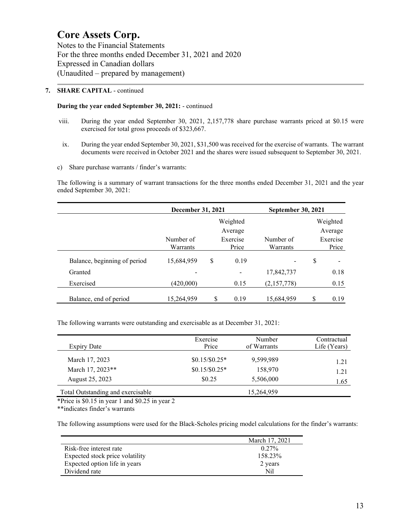Notes to the Financial Statements For the three months ended December 31, 2021 and 2020 Expressed in Canadian dollars (Unaudited – prepared by management)

### **7. SHARE CAPITAL** - continued

#### **During the year ended September 30, 2021:** - continued

- viii. During the year ended September 30, 2021, 2,157,778 share purchase warrants priced at \$0.15 were exercised for total gross proceeds of \$323,667.
- ix. During the year ended September 30, 2021, \$31,500 was received for the exercise of warrants. The warrant documents were received in October 2021 and the shares were issued subsequent to September 30, 2021.
- c) Share purchase warrants / finder's warrants:

The following is a summary of warrant transactions for the three months ended December 31, 2021 and the year ended September 30, 2021:

|                              | December 31, 2021 |          |                 | <b>September 30, 2021</b> |            |
|------------------------------|-------------------|----------|-----------------|---------------------------|------------|
|                              |                   |          | Weighted        |                           | Weighted   |
|                              |                   |          | Average         |                           | Average    |
|                              | Number of         | Exercise |                 | Number of                 | Exercise   |
|                              | Warrants          |          | Price           | Warrants                  | Price      |
| Balance, beginning of period | 15,684,959        | \$       | 0.19            |                           | \$         |
| Granted                      |                   |          | $\qquad \qquad$ | 17,842,737                | 0.18       |
| Exercised                    | (420,000)         |          | 0.15            | (2,157,778)               | 0.15       |
| Balance, end of period       | 15,264,959        | S        | 0.19            | 15,684,959                | \$<br>0.19 |

The following warrants were outstanding and exercisable as at December 31, 2021:

| Expiry Date                       | Exercise<br>Price | Number<br>of Warrants | Contractual<br>Life (Years) |
|-----------------------------------|-------------------|-----------------------|-----------------------------|
| March 17, 2023                    | $$0.15/\$0.25*$   | 9,599,989             | 1.21                        |
| March 17, 2023**                  | $$0.15/\$0.25*$   | 158,970               | 1.21                        |
| August 25, 2023                   | \$0.25            | 5,506,000             | 1.65                        |
| Total Outstanding and exercisable |                   | 15,264,959            |                             |

\*Price is \$0.15 in year 1 and \$0.25 in year 2

\*\*indicates finder's warrants

The following assumptions were used for the Black-Scholes pricing model calculations for the finder's warrants:

|                                 | March 17, 2021 |
|---------------------------------|----------------|
| Risk-free interest rate         | $0.27\%$       |
| Expected stock price volatility | 158.23%        |
| Expected option life in years   | 2 years        |
| Dividend rate                   | Nil            |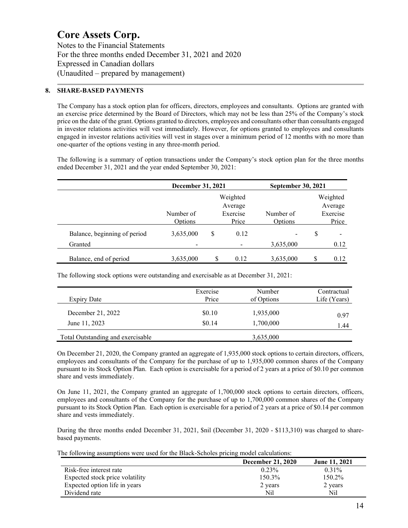Notes to the Financial Statements For the three months ended December 31, 2021 and 2020 Expressed in Canadian dollars (Unaudited – prepared by management)

#### **8. SHARE-BASED PAYMENTS**

The Company has a stock option plan for officers, directors, employees and consultants. Options are granted with an exercise price determined by the Board of Directors, which may not be less than 25% of the Company's stock price on the date of the grant. Options granted to directors, employees and consultants other than consultants engaged in investor relations activities will vest immediately. However, for options granted to employees and consultants engaged in investor relations activities will vest in stages over a minimum period of 12 months with no more than one-quarter of the options vesting in any three-month period.

The following is a summary of option transactions under the Company's stock option plan for the three months ended December 31, 2021 and the year ended September 30, 2021:

|                              | December 31, 2021    |    |                                          | <b>September 30, 2021</b> |   |                                          |
|------------------------------|----------------------|----|------------------------------------------|---------------------------|---|------------------------------------------|
|                              | Number of<br>Options |    | Weighted<br>Average<br>Exercise<br>Price | Number of<br>Options      |   | Weighted<br>Average<br>Exercise<br>Price |
| Balance, beginning of period | 3,635,000            | \$ | 0.12                                     |                           | S |                                          |
| Granted                      |                      |    |                                          | 3,635,000                 |   | 0.12                                     |
| Balance, end of period       | 3,635,000            | S  | 0.12                                     | 3,635,000                 | S | 0.12                                     |

The following stock options were outstanding and exercisable as at December 31, 2021:

| Expiry Date                       | Exercise | Number     | Contractual  |
|-----------------------------------|----------|------------|--------------|
|                                   | Price    | of Options | Life (Years) |
| December 21, 2022                 | \$0.10   | 1,935,000  | 0.97         |
| June 11, 2023                     | \$0.14   | 1,700,000  | 1.44         |
| Total Outstanding and exercisable |          | 3,635,000  |              |

On December 21, 2020, the Company granted an aggregate of 1,935,000 stock options to certain directors, officers, employees and consultants of the Company for the purchase of up to 1,935,000 common shares of the Company pursuant to its Stock Option Plan. Each option is exercisable for a period of 2 years at a price of \$0.10 per common share and vests immediately.

On June 11, 2021, the Company granted an aggregate of 1,700,000 stock options to certain directors, officers, employees and consultants of the Company for the purchase of up to 1,700,000 common shares of the Company pursuant to its Stock Option Plan. Each option is exercisable for a period of 2 years at a price of \$0.14 per common share and vests immediately.

During the three months ended December 31, 2021, \$nil (December 31, 2020 - \$113,310) was charged to sharebased payments.

The following assumptions were used for the Black-Scholes pricing model calculations:

|                                 | <b>December 21, 2020</b> | <b>June 11, 2021</b> |
|---------------------------------|--------------------------|----------------------|
| Risk-free interest rate         | 0.23%                    | $0.31\%$             |
| Expected stock price volatility | 150.3%                   | 150.2%               |
| Expected option life in years   | 2 years                  | 2 years              |
| Dividend rate                   | Nil                      | Nil                  |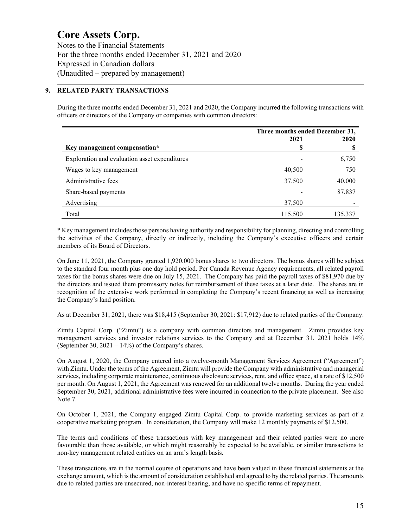Notes to the Financial Statements For the three months ended December 31, 2021 and 2020 Expressed in Canadian dollars (Unaudited – prepared by management)

#### **9. RELATED PARTY TRANSACTIONS**

During the three months ended December 31, 2021 and 2020, the Company incurred the following transactions with officers or directors of the Company or companies with common directors:

|                                               | Three months ended December 31, |         |
|-----------------------------------------------|---------------------------------|---------|
|                                               | 2021                            | 2020    |
| Key management compensation*                  | S                               |         |
| Exploration and evaluation asset expenditures |                                 | 6,750   |
| Wages to key management                       | 40,500                          | 750     |
| Administrative fees                           | 37,500                          | 40,000  |
| Share-based payments                          |                                 | 87,837  |
| Advertising                                   | 37,500                          |         |
| Total                                         | 115,500                         | 135,337 |

\* Key management includes those persons having authority and responsibility for planning, directing and controlling the activities of the Company, directly or indirectly, including the Company's executive officers and certain members of its Board of Directors.

On June 11, 2021, the Company granted 1,920,000 bonus shares to two directors. The bonus shares will be subject to the standard four month plus one day hold period. Per Canada Revenue Agency requirements, all related payroll taxes for the bonus shares were due on July 15, 2021. The Company has paid the payroll taxes of \$81,970 due by the directors and issued them promissory notes for reimbursement of these taxes at a later date. The shares are in recognition of the extensive work performed in completing the Company's recent financing as well as increasing the Company's land position.

As at December 31, 2021, there was \$18,415 (September 30, 2021: \$17,912) due to related parties of the Company.

Zimtu Capital Corp. ("Zimtu") is a company with common directors and management. Zimtu provides key management services and investor relations services to the Company and at December 31, 2021 holds 14% (September 30,  $2021 - 14\%$ ) of the Company's shares.

On August 1, 2020, the Company entered into a twelve-month Management Services Agreement ("Agreement") with Zimtu. Under the terms of the Agreement, Zimtu will provide the Company with administrative and managerial services, including corporate maintenance, continuous disclosure services, rent, and office space, at a rate of \$12,500 per month. On August 1, 2021, the Agreement was renewed for an additional twelve months. During the year ended September 30, 2021, additional administrative fees were incurred in connection to the private placement. See also Note 7.

On October 1, 2021, the Company engaged Zimtu Capital Corp. to provide marketing services as part of a cooperative marketing program. In consideration, the Company will make 12 monthly payments of \$12,500.

The terms and conditions of these transactions with key management and their related parties were no more favourable than those available, or which might reasonably be expected to be available, or similar transactions to non-key management related entities on an arm's length basis.

These transactions are in the normal course of operations and have been valued in these financial statements at the exchange amount, which is the amount of consideration established and agreed to by the related parties. The amounts due to related parties are unsecured, non-interest bearing, and have no specific terms of repayment.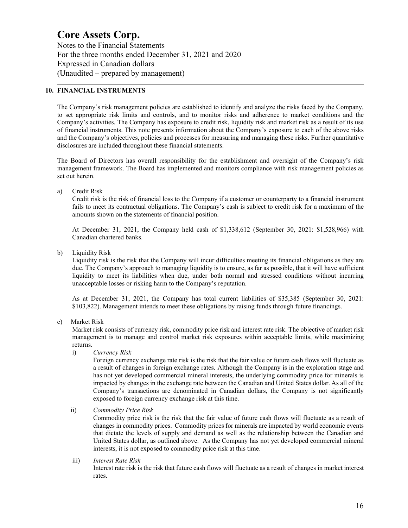Notes to the Financial Statements For the three months ended December 31, 2021 and 2020 Expressed in Canadian dollars (Unaudited – prepared by management)

#### **10. FINANCIAL INSTRUMENTS**

The Company's risk management policies are established to identify and analyze the risks faced by the Company, to set appropriate risk limits and controls, and to monitor risks and adherence to market conditions and the Company's activities. The Company has exposure to credit risk, liquidity risk and market risk as a result of its use of financial instruments. This note presents information about the Company's exposure to each of the above risks and the Company's objectives, policies and processes for measuring and managing these risks. Further quantitative disclosures are included throughout these financial statements.

The Board of Directors has overall responsibility for the establishment and oversight of the Company's risk management framework. The Board has implemented and monitors compliance with risk management policies as set out herein.

a) Credit Risk

Credit risk is the risk of financial loss to the Company if a customer or counterparty to a financial instrument fails to meet its contractual obligations. The Company's cash is subject to credit risk for a maximum of the amounts shown on the statements of financial position.

At December 31, 2021, the Company held cash of \$1,338,612 (September 30, 2021: \$1,528,966) with Canadian chartered banks.

b) Liquidity Risk

Liquidity risk is the risk that the Company will incur difficulties meeting its financial obligations as they are due. The Company's approach to managing liquidity is to ensure, as far as possible, that it will have sufficient liquidity to meet its liabilities when due, under both normal and stressed conditions without incurring unacceptable losses or risking harm to the Company's reputation.

As at December 31, 2021, the Company has total current liabilities of \$35,385 (September 30, 2021: \$103,822). Management intends to meet these obligations by raising funds through future financings.

c) Market Risk

Market risk consists of currency risk, commodity price risk and interest rate risk. The objective of market risk management is to manage and control market risk exposures within acceptable limits, while maximizing returns.

i) *Currency Risk*

Foreign currency exchange rate risk is the risk that the fair value or future cash flows will fluctuate as a result of changes in foreign exchange rates. Although the Company is in the exploration stage and has not yet developed commercial mineral interests, the underlying commodity price for minerals is impacted by changes in the exchange rate between the Canadian and United States dollar. As all of the Company's transactions are denominated in Canadian dollars, the Company is not significantly exposed to foreign currency exchange risk at this time.

ii) *Commodity Price Risk*

Commodity price risk is the risk that the fair value of future cash flows will fluctuate as a result of changes in commodity prices. Commodity prices for minerals are impacted by world economic events that dictate the levels of supply and demand as well as the relationship between the Canadian and United States dollar, as outlined above. As the Company has not yet developed commercial mineral interests, it is not exposed to commodity price risk at this time.

 iii) *Interest Rate Risk* Interest rate risk is the risk that future cash flows will fluctuate as a result of changes in market interest rates.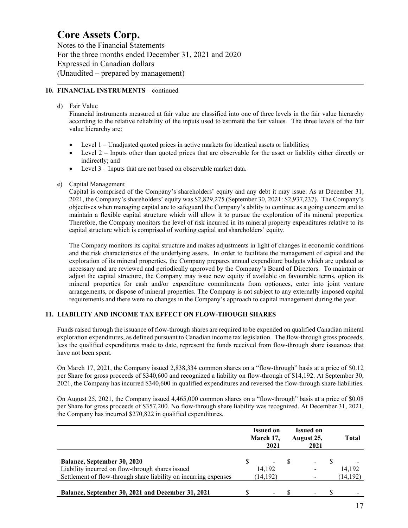Notes to the Financial Statements For the three months ended December 31, 2021 and 2020 Expressed in Canadian dollars (Unaudited – prepared by management)

### **10. FINANCIAL INSTRUMENTS** – continued

### d) Fair Value

Financial instruments measured at fair value are classified into one of three levels in the fair value hierarchy according to the relative reliability of the inputs used to estimate the fair values. The three levels of the fair value hierarchy are:

- Level 1 Unadjusted quoted prices in active markets for identical assets or liabilities;
- Level 2 Inputs other than quoted prices that are observable for the asset or liability either directly or indirectly; and
- Level 3 Inputs that are not based on observable market data.
- e) Capital Management

Capital is comprised of the Company's shareholders' equity and any debt it may issue. As at December 31, 2021, the Company's shareholders' equity was \$2,829,275 (September 30, 2021: \$2,937,237). The Company's objectives when managing capital are to safeguard the Company's ability to continue as a going concern and to maintain a flexible capital structure which will allow it to pursue the exploration of its mineral properties. Therefore, the Company monitors the level of risk incurred in its mineral property expenditures relative to its capital structure which is comprised of working capital and shareholders' equity.

The Company monitors its capital structure and makes adjustments in light of changes in economic conditions and the risk characteristics of the underlying assets. In order to facilitate the management of capital and the exploration of its mineral properties, the Company prepares annual expenditure budgets which are updated as necessary and are reviewed and periodically approved by the Company's Board of Directors. To maintain or adjust the capital structure, the Company may issue new equity if available on favourable terms, option its mineral properties for cash and/or expenditure commitments from optionees, enter into joint venture arrangements, or dispose of mineral properties. The Company is not subject to any externally imposed capital requirements and there were no changes in the Company's approach to capital management during the year.

# **11. LIABILITY AND INCOME TAX EFFECT ON FLOW-THOUGH SHARES**

Funds raised through the issuance of flow-through shares are required to be expended on qualified Canadian mineral exploration expenditures, as defined pursuant to Canadian income tax legislation. The flow-through gross proceeds, less the qualified expenditures made to date, represent the funds received from flow-through share issuances that have not been spent.

On March 17, 2021, the Company issued 2,838,334 common shares on a "flow-through" basis at a price of \$0.12 per Share for gross proceeds of \$340,600 and recognized a liability on flow-through of \$14,192. At September 30, 2021, the Company has incurred \$340,600 in qualified expenditures and reversed the flow-through share liabilities.

On August 25, 2021, the Company issued 4,465,000 common shares on a "flow-through" basis at a price of \$0.08 per Share for gross proceeds of \$357,200. No flow-through share liability was recognized. At December 31, 2021, the Company has incurred \$270,822 in qualified expenditures.

|                                                                                                                                                            |   | <b>Issued on</b><br>March 17,<br>2021 |     | <b>Issued on</b><br>August 25,<br>2021 | Total               |
|------------------------------------------------------------------------------------------------------------------------------------------------------------|---|---------------------------------------|-----|----------------------------------------|---------------------|
| <b>Balance, September 30, 2020</b><br>Liability incurred on flow-through shares issued<br>Settlement of flow-through share liability on incurring expenses | S | $\sim$<br>14.192<br>(14, 192)         | - 8 |                                        | 14.192<br>(14, 192) |
| Balance, September 30, 2021 and December 31, 2021                                                                                                          |   | $\overline{\phantom{0}}$              |     |                                        |                     |